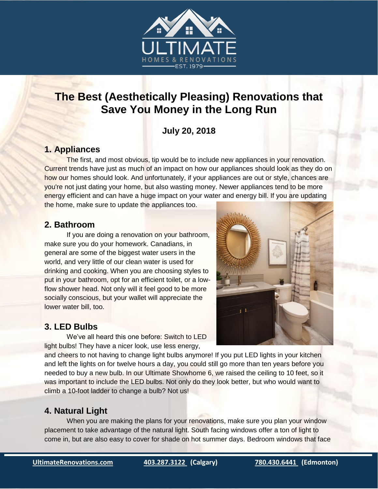

# **The Best (Aesthetically Pleasing) Renovations that Save You Money in the Long Run**

## **July 20, 2018**

#### **1. Appliances**

The first, and most obvious, tip would be to include new appliances in your renovation. Current trends have just as much of an impact on how our appliances should look as they do on how our homes should look. And unfortunately, if your appliances are out or style, chances are you're not just dating your home, but also wasting money. Newer appliances tend to be more energy efficient and can have a huge impact on your water and energy bill. If you are updating the home, make sure to update the appliances too.

#### **2. Bathroom**

If you are doing a renovation on your bathroom, make sure you do your homework. Canadians, in general are some of the biggest water users in the world, and very little of our clean water is used for drinking and cooking. When you are choosing styles to put in your bathroom, opt for an efficient toilet, or a lowflow shower head. Not only will it feel good to be more socially conscious, but your wallet will appreciate the lower water bill, too.

#### **3. LED Bulbs**

We've all heard this one before: Switch to LED light bulbs! They have a nicer look, use less energy,



and cheers to not having to change light bulbs anymore! If you put LED lights in your kitchen and left the lights on for twelve hours a day, you could still go more than ten years before you needed to buy a new bulb. In our Ultimate Showhome 6, we raised the ceiling to 10 feet, so it was important to include the LED bulbs. Not only do they look better, but who would want to climb a 10-foot ladder to change a bulb? Not us!

### **4. Natural Light**

When you are making the plans for your renovations, make sure you plan your window placement to take advantage of the natural light. South facing windows offer a ton of light to come in, but are also easy to cover for shade on hot summer days. Bedroom windows that face

e<br>L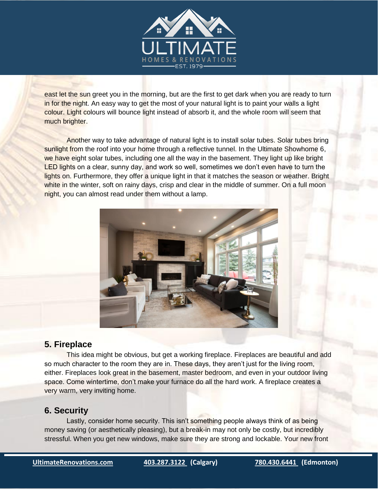

east let the sun greet you in the morning, but are the first to get dark when you are ready to turn in for the night. An easy way to get the most of your natural light is to paint your walls a light colour. Light colours will bounce light instead of absorb it, and the whole room will seem that much brighter.

Another way to take advantage of natural light is to install solar tubes. Solar tubes bring sunlight from the roof into your home through a reflective tunnel. In the Ultimate Showhome 6, we have eight solar tubes, including one all the way in the basement. They light up like bright LED lights on a clear, sunny day, and work so well, sometimes we don't even have to turn the lights on. Furthermore, they offer a unique light in that it matches the season or weather. Bright white in the winter, soft on rainy days, crisp and clear in the middle of summer. On a full moon night, you can almost read under them without a lamp.



#### **5. Fireplace**

This idea might be obvious, but get a working fireplace. Fireplaces are beautiful and add so much character to the room they are in. These days, they aren't just for the living room, either. Fireplaces look great in the basement, master bedroom, and even in your outdoor living space. Come wintertime, don't make your furnace do all the hard work. A fireplace creates a very warm, very inviting home.

#### **6. Security**

Lastly, consider home security. This isn't something people always think of as being money saving (or aesthetically pleasing), but a break-in may not only be costly, but incredibly stressful. When you get new windows, make sure they are strong and lockable. Your new front

e<br>L